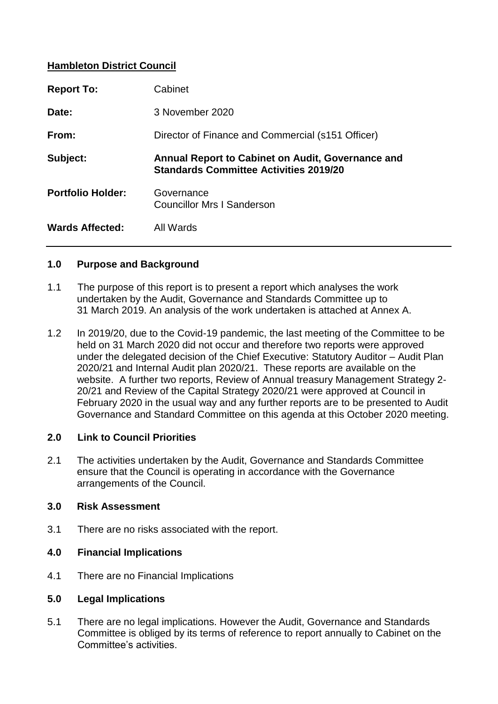# **Hambleton District Council**

| <b>Report To:</b>        | Cabinet                                                                                            |
|--------------------------|----------------------------------------------------------------------------------------------------|
| Date:                    | 3 November 2020                                                                                    |
| From:                    | Director of Finance and Commercial (s151 Officer)                                                  |
| Subject:                 | Annual Report to Cabinet on Audit, Governance and<br><b>Standards Committee Activities 2019/20</b> |
| <b>Portfolio Holder:</b> | Governance<br><b>Councillor Mrs I Sanderson</b>                                                    |
| <b>Wards Affected:</b>   | All Wards                                                                                          |

## **1.0 Purpose and Background**

- 1.1 The purpose of this report is to present a report which analyses the work undertaken by the Audit, Governance and Standards Committee up to 31 March 2019. An analysis of the work undertaken is attached at Annex A.
- 1.2 In 2019/20, due to the Covid-19 pandemic, the last meeting of the Committee to be held on 31 March 2020 did not occur and therefore two reports were approved under the delegated decision of the Chief Executive: Statutory Auditor – Audit Plan 2020/21 and Internal Audit plan 2020/21. These reports are available on the website. A further two reports, Review of Annual treasury Management Strategy 2- 20/21 and Review of the Capital Strategy 2020/21 were approved at Council in February 2020 in the usual way and any further reports are to be presented to Audit Governance and Standard Committee on this agenda at this October 2020 meeting.

# **2.0 Link to Council Priorities**

2.1 The activities undertaken by the Audit, Governance and Standards Committee ensure that the Council is operating in accordance with the Governance arrangements of the Council.

# **3.0 Risk Assessment**

3.1 There are no risks associated with the report.

# **4.0 Financial Implications**

4.1 There are no Financial Implications

## **5.0 Legal Implications**

5.1 There are no legal implications. However the Audit, Governance and Standards Committee is obliged by its terms of reference to report annually to Cabinet on the Committee's activities.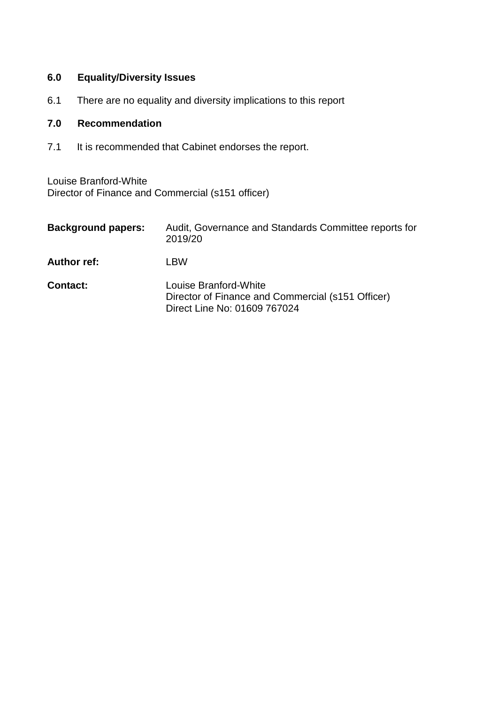# **6.0 Equality/Diversity Issues**

6.1 There are no equality and diversity implications to this report

# **7.0 Recommendation**

7.1 It is recommended that Cabinet endorses the report.

Louise Branford-White Director of Finance and Commercial (s151 officer)

| <b>Background papers:</b> | Audit, Governance and Standards Committee reports for<br>2019/20                                           |
|---------------------------|------------------------------------------------------------------------------------------------------------|
| <b>Author ref:</b>        | <b>LBW</b>                                                                                                 |
| <b>Contact:</b>           | Louise Branford-White<br>Director of Finance and Commercial (s151 Officer)<br>Direct Line No: 01609 767024 |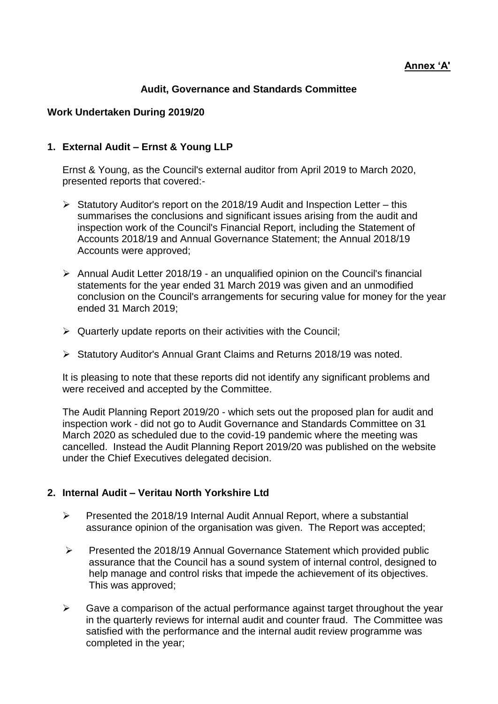# **Annex 'A'**

## **Audit, Governance and Standards Committee**

## **Work Undertaken During 2019/20**

## **1. External Audit – Ernst & Young LLP**

Ernst & Young, as the Council's external auditor from April 2019 to March 2020, presented reports that covered:-

- $\triangleright$  Statutory Auditor's report on the 2018/19 Audit and Inspection Letter this summarises the conclusions and significant issues arising from the audit and inspection work of the Council's Financial Report, including the Statement of Accounts 2018/19 and Annual Governance Statement; the Annual 2018/19 Accounts were approved;
- $\triangleright$  Annual Audit Letter 2018/19 an unqualified opinion on the Council's financial statements for the year ended 31 March 2019 was given and an unmodified conclusion on the Council's arrangements for securing value for money for the year ended 31 March 2019;
- $\triangleright$  Quarterly update reports on their activities with the Council;
- Statutory Auditor's Annual Grant Claims and Returns 2018/19 was noted.

It is pleasing to note that these reports did not identify any significant problems and were received and accepted by the Committee.

The Audit Planning Report 2019/20 - which sets out the proposed plan for audit and inspection work - did not go to Audit Governance and Standards Committee on 31 March 2020 as scheduled due to the covid-19 pandemic where the meeting was cancelled. Instead the Audit Planning Report 2019/20 was published on the website under the Chief Executives delegated decision.

## **2. Internal Audit – Veritau North Yorkshire Ltd**

- $\triangleright$  Presented the 2018/19 Internal Audit Annual Report, where a substantial assurance opinion of the organisation was given. The Report was accepted;
- $\triangleright$  Presented the 2018/19 Annual Governance Statement which provided public assurance that the Council has a sound system of internal control, designed to help manage and control risks that impede the achievement of its objectives. This was approved;
- $\triangleright$  Gave a comparison of the actual performance against target throughout the year in the quarterly reviews for internal audit and counter fraud. The Committee was satisfied with the performance and the internal audit review programme was completed in the year;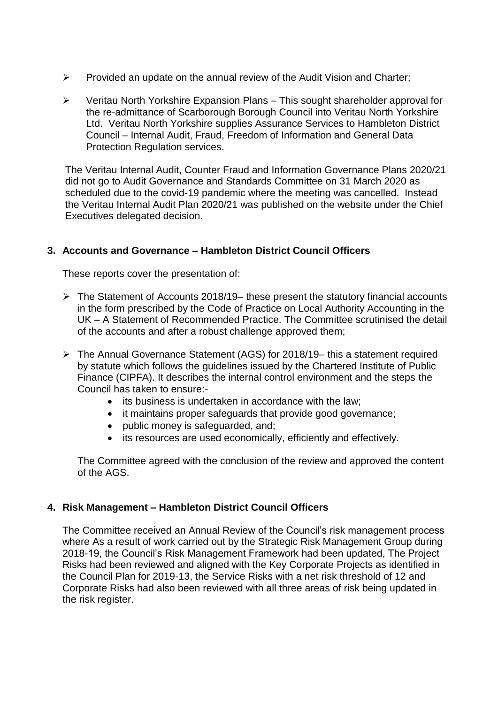- $\triangleright$  Provided an update on the annual review of the Audit Vision and Charter;
- $\triangleright$  Veritau North Yorkshire Expansion Plans This sought shareholder approval for the re-admittance of Scarborough Borough Council into Veritau North Yorkshire Ltd. Veritau North Yorkshire supplies Assurance Services to Hambleton District Council – Internal Audit, Fraud, Freedom of Information and General Data Protection Regulation services.

The Veritau Internal Audit, Counter Fraud and Information Governance Plans 2020/21 did not go to Audit Governance and Standards Committee on 31 March 2020 as scheduled due to the covid-19 pandemic where the meeting was cancelled. Instead the Veritau Internal Audit Plan 2020/21 was published on the website under the Chief Executives delegated decision.

## **3. Accounts and Governance – Hambleton District Council Officers**

These reports cover the presentation of:

- $\triangleright$  The Statement of Accounts 2018/19– these present the statutory financial accounts in the form prescribed by the Code of Practice on Local Authority Accounting in the UK – A Statement of Recommended Practice. The Committee scrutinised the detail of the accounts and after a robust challenge approved them;
- The Annual Governance Statement (AGS) for 2018/19– this a statement required by statute which follows the guidelines issued by the Chartered Institute of Public Finance (CIPFA). It describes the internal control environment and the steps the Council has taken to ensure:-
	- its business is undertaken in accordance with the law;
	- it maintains proper safeguards that provide good governance;
	- public money is safeguarded, and;
	- its resources are used economically, efficiently and effectively.

The Committee agreed with the conclusion of the review and approved the content of the AGS.

## **4. Risk Management – Hambleton District Council Officers**

The Committee received an Annual Review of the Council's risk management process where As a result of work carried out by the Strategic Risk Management Group during 2018-19, the Council's Risk Management Framework had been updated, The Project Risks had been reviewed and aligned with the Key Corporate Projects as identified in the Council Plan for 2019-13, the Service Risks with a net risk threshold of 12 and Corporate Risks had also been reviewed with all three areas of risk being updated in the risk register.